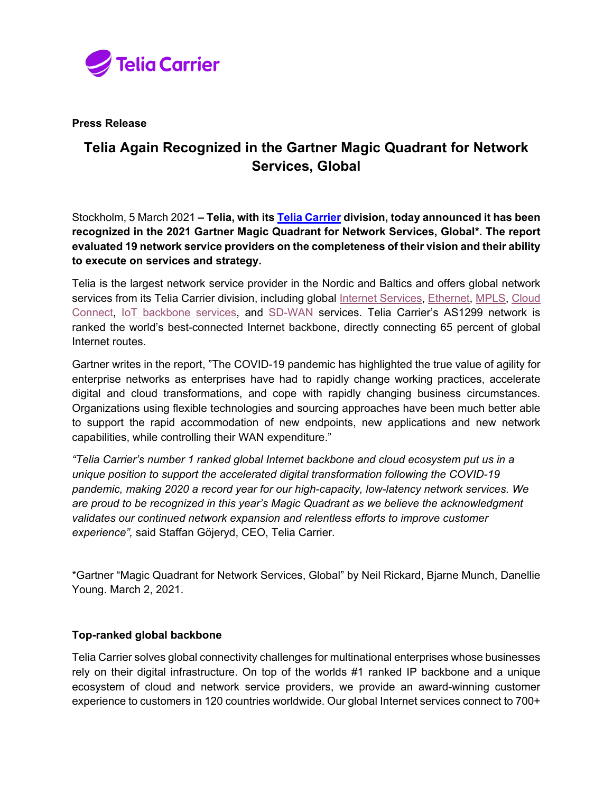

**Press Release**

# **Telia Again Recognized in the Gartner Magic Quadrant for Network Services, Global**

Stockholm, 5 March 2021 **– Telia, with its [Telia Carrier](https://www.teliacarrier.com/) division, today announced it has been recognized in the 2021 Gartner Magic Quadrant for Network Services, Global\*. The report evaluated 19 network service providers on the completeness of their vision and their ability to execute on services and strategy.**

Telia is the largest network service provider in the Nordic and Baltics and offers global network services from its Telia Carrier division, including global [Internet Services,](https://www.teliacarrier.com/products-and-services/internet-and-cloud/ip-transit.html) [Ethernet,](https://www.teliacarrier.com/products-and-services/Networking/ethernet.html) [MPLS,](https://www.teliacarrier.com/products-and-services/Networking/smart-ip-vpn.html) Cloud [Connect,](https://www.teliacarrier.com/products-and-services/internet-and-cloud/cloud-connect.html) [IoT backbone services,](https://www.teliacarrier.com/products-and-services/Voice-mobile-data-and-iot/ipx-and-iot.html) and [SD-WAN](https://www.teliacarrier.com/products-and-services/Networking/sd-wan.html) services. Telia Carrier's AS1299 network is ranked the world's best-connected Internet backbone, directly connecting 65 percent of global Internet routes.

Gartner writes in the report, "The COVID-19 pandemic has highlighted the true value of agility for enterprise networks as enterprises have had to rapidly change working practices, accelerate digital and cloud transformations, and cope with rapidly changing business circumstances. Organizations using flexible technologies and sourcing approaches have been much better able to support the rapid accommodation of new endpoints, new applications and new network capabilities, while controlling their WAN expenditure."

*"Telia Carrier's number 1 ranked global Internet backbone and cloud ecosystem put us in a unique position to support the accelerated digital transformation following the COVID-19 pandemic, making 2020 a record year for our high-capacity, low-latency network services. We are proud to be recognized in this year's Magic Quadrant as we believe the acknowledgment validates our continued network expansion and relentless efforts to improve customer experience",* said Staffan Göjeryd, CEO, Telia Carrier*.*

\*Gartner "Magic Quadrant for Network Services, Global" by Neil Rickard, Bjarne Munch, Danellie Young. March 2, 2021.

## **Top-ranked global backbone**

Telia Carrier solves global connectivity challenges for multinational enterprises whose businesses rely on their digital infrastructure. On top of the worlds #1 ranked IP backbone and a unique ecosystem of cloud and network service providers, we provide an award-winning customer experience to customers in 120 countries worldwide. Our global Internet services connect to 700+